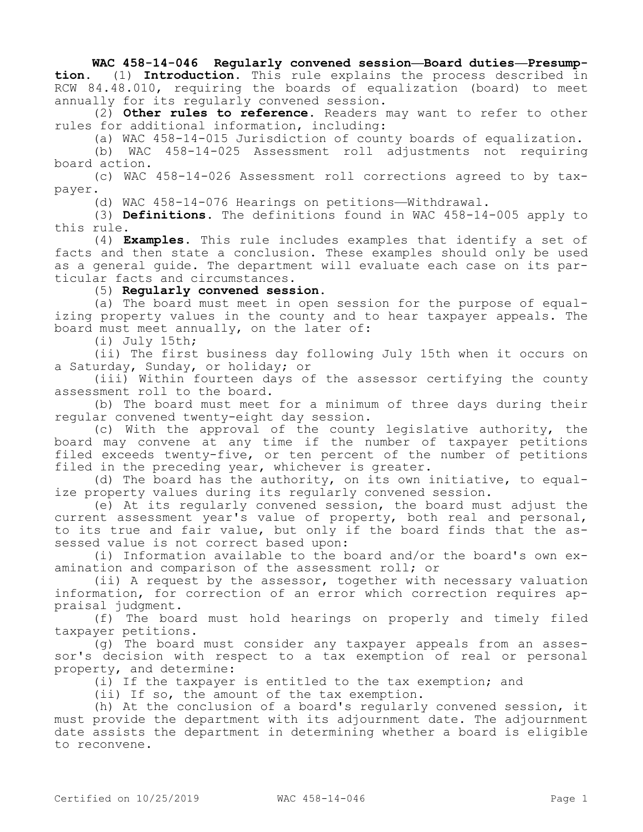## **WAC 458-14-046 Regularly convened session—Board duties—Presump-**

**tion.** (1) **Introduction.** This rule explains the process described in RCW 84.48.010, requiring the boards of equalization (board) to meet annually for its regularly convened session.

(2) **Other rules to reference.** Readers may want to refer to other rules for additional information, including:

(a) WAC 458-14-015 Jurisdiction of county boards of equalization.

(b) WAC 458-14-025 Assessment roll adjustments not requiring board action.

(c) WAC 458-14-026 Assessment roll corrections agreed to by taxpayer.

(d) WAC 458-14-076 Hearings on petitions—Withdrawal.

(3) **Definitions.** The definitions found in WAC 458-14-005 apply to this rule.

(4) **Examples.** This rule includes examples that identify a set of facts and then state a conclusion. These examples should only be used as a general guide. The department will evaluate each case on its particular facts and circumstances.

(5) **Regularly convened session.**

(a) The board must meet in open session for the purpose of equalizing property values in the county and to hear taxpayer appeals. The board must meet annually, on the later of:

(i) July 15th;

(ii) The first business day following July 15th when it occurs on a Saturday, Sunday, or holiday; or

(iii) Within fourteen days of the assessor certifying the county assessment roll to the board.

(b) The board must meet for a minimum of three days during their regular convened twenty-eight day session.

(c) With the approval of the county legislative authority, the board may convene at any time if the number of taxpayer petitions filed exceeds twenty-five, or ten percent of the number of petitions filed in the preceding year, whichever is greater.

(d) The board has the authority, on its own initiative, to equalize property values during its regularly convened session.

(e) At its regularly convened session, the board must adjust the current assessment year's value of property, both real and personal, to its true and fair value, but only if the board finds that the assessed value is not correct based upon:

(i) Information available to the board and/or the board's own examination and comparison of the assessment roll; or

(ii) A request by the assessor, together with necessary valuation information, for correction of an error which correction requires appraisal judgment.

(f) The board must hold hearings on properly and timely filed taxpayer petitions.

(g) The board must consider any taxpayer appeals from an assessor's decision with respect to a tax exemption of real or personal property, and determine:

(i) If the taxpayer is entitled to the tax exemption; and

(ii) If so, the amount of the tax exemption.

(h) At the conclusion of a board's regularly convened session, it must provide the department with its adjournment date. The adjournment date assists the department in determining whether a board is eligible to reconvene.